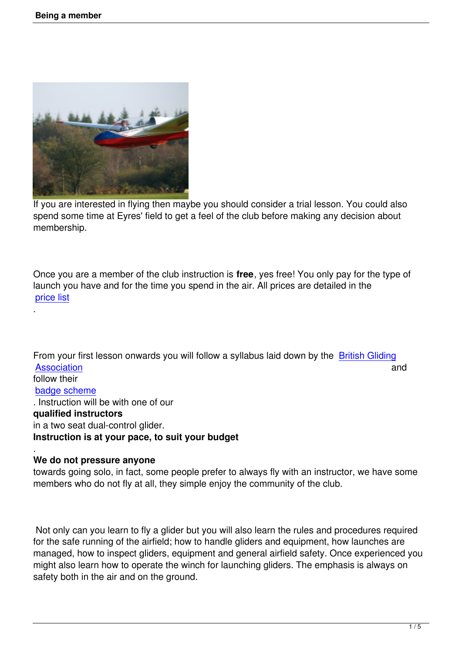

If you are interested in flying then maybe you should consider a trial lesson. You could also spend some time at Eyres' field to get a feel of the club before making any decision about membership.

Once you are a member of the club instruction is **free**, yes free! You only pay for the type of launch you have and for the time you spend in the air. All prices are detailed in the price list

From your first lesson onwards you will follow a syllabus laid down by the British Gliding Association and and a series of the series of the series of the series of the series of the series of the series of the series of the series of the series of the series of the series of the series of the series of the seri follow their badge scheme [. Instruction](http://www.gliding.co.uk) will be with one of our **qualified instructors** [in a two seat du](http://www.gliding.co.uk/learningtoglide/thebadgesystem.htm)al-control glider. **Instruction is at your pace, to suit your budget**

#### . **We do not pressure anyone**

.

towards going solo, in fact, some people prefer to always fly with an instructor, we have some members who do not fly at all, they simple enjoy the community of the club.

 Not only can you learn to fly a glider but you will also learn the rules and procedures required for the safe running of the airfield; how to handle gliders and equipment, how launches are managed, how to inspect gliders, equipment and general airfield safety. Once experienced you might also learn how to operate the winch for launching gliders. The emphasis is always on safety both in the air and on the ground.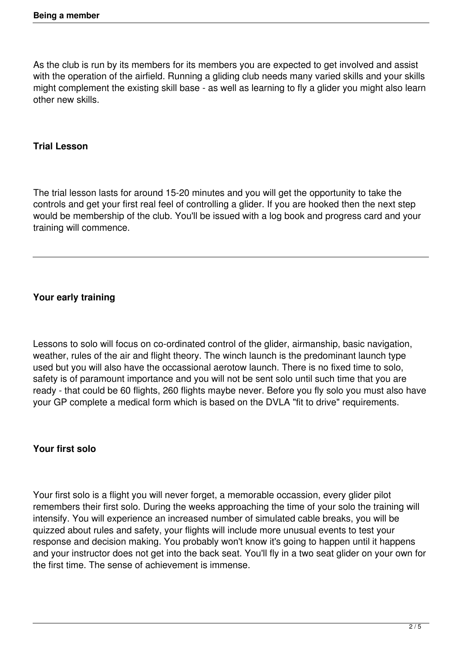As the club is run by its members for its members you are expected to get involved and assist with the operation of the airfield. Running a gliding club needs many varied skills and your skills might complement the existing skill base - as well as learning to fly a glider you might also learn other new skills.

#### **Trial Lesson**

The trial lesson lasts for around 15-20 minutes and you will get the opportunity to take the controls and get your first real feel of controlling a glider. If you are hooked then the next step would be membership of the club. You'll be issued with a log book and progress card and your training will commence.

## **Your early training**

Lessons to solo will focus on co-ordinated control of the glider, airmanship, basic navigation, weather, rules of the air and flight theory. The winch launch is the predominant launch type used but you will also have the occassional aerotow launch. There is no fixed time to solo, safety is of paramount importance and you will not be sent solo until such time that you are ready - that could be 60 flights, 260 flights maybe never. Before you fly solo you must also have your GP complete a medical form which is based on the DVLA "fit to drive" requirements.

## **Your first solo**

Your first solo is a flight you will never forget, a memorable occassion, every glider pilot remembers their first solo. During the weeks approaching the time of your solo the training will intensify. You will experience an increased number of simulated cable breaks, you will be quizzed about rules and safety, your flights will include more unusual events to test your response and decision making. You probably won't know it's going to happen until it happens and your instructor does not get into the back seat. You'll fly in a two seat glider on your own for the first time. The sense of achievement is immense.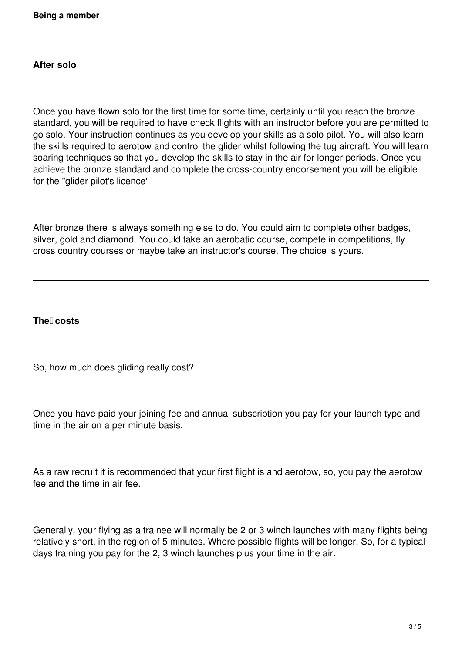# **After solo**

Once you have flown solo for the first time for some time, certainly until you reach the bronze standard, you will be required to have check flights with an instructor before you are permitted to go solo. Your instruction continues as you develop your skills as a solo pilot. You will also learn the skills required to aerotow and control the glider whilst following the tug aircraft. You will learn soaring techniques so that you develop the skills to stay in the air for longer periods. Once you achieve the bronze standard and complete the cross-country endorsement you will be eligible for the "glider pilot's licence"

After bronze there is always something else to do. You could aim to complete other badges, silver, gold and diamond. You could take an aerobatic course, compete in competitions, fly cross country courses or maybe take an instructor's course. The choice is yours.

## **The costs**

So, how much does gliding really cost?

Once you have paid your joining fee and annual subscription you pay for your launch type and time in the air on a per minute basis.

As a raw recruit it is recommended that your first flight is and aerotow, so, you pay the aerotow fee and the time in air fee.

Generally, your flying as a trainee will normally be 2 or 3 winch launches with many flights being relatively short, in the region of 5 minutes. Where possible flights will be longer. So, for a typical days training you pay for the 2, 3 winch launches plus your time in the air.